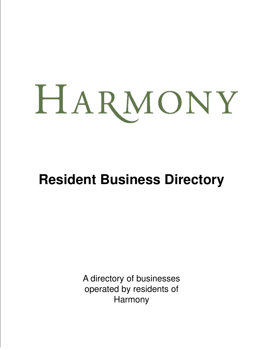# HARMONY

# **Resident Business Directory**

A directory of businesses operated by residents of Harmony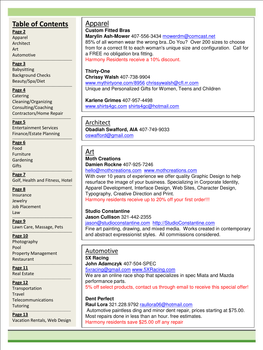# **Table of Contents**

**\_\_\_\_\_\_\_\_\_\_\_\_\_\_\_\_\_\_\_\_\_\_\_\_\_\_\_\_\_\_\_\_\_\_\_\_\_\_\_\_\_\_\_\_\_\_\_\_\_**

**\_\_\_\_\_\_\_\_\_\_\_\_\_\_\_\_\_\_\_\_\_\_\_\_\_\_\_\_\_\_\_\_\_\_\_\_\_\_\_\_\_\_\_\_\_\_\_\_\_**

# **Page 2**

Apparel Architect Art Automotive

### **Page 3**

Babysitting Background Checks Beauty/Spa/Diet

### **Page 4**

**Catering** Cleaning/Organizing Consulting/Coaching Contractors/Home Repair

**\_\_\_\_\_\_\_\_\_\_\_\_\_\_\_\_\_\_\_\_\_\_\_\_\_\_\_\_\_\_\_\_\_\_\_\_\_\_\_\_\_\_\_\_\_\_\_\_**

**Page 5** Entertainment Services Finance/Estate Planning

### **\_\_\_\_\_\_\_\_\_\_\_\_\_\_\_\_\_\_\_\_\_\_\_\_\_\_\_\_\_\_\_\_\_\_\_\_\_\_\_\_\_\_\_\_\_\_\_\_\_ Page 6**

Food Furniture Gardening **Gifts** 

**\_\_\_\_\_\_\_\_\_\_\_\_\_\_\_\_\_\_\_\_\_\_\_\_\_\_\_\_\_\_\_\_\_\_\_\_\_\_\_\_\_\_\_\_\_\_\_\_\_ Page 7** Golf, Health and Fitness, Hotel **\_\_\_\_\_\_\_\_\_\_\_\_\_\_\_\_\_\_\_\_\_\_\_\_\_\_\_\_\_\_\_\_\_\_\_\_\_\_\_\_\_\_\_\_\_\_\_\_\_**

# **Page 8**

Insurance Jewelry Job Placement Law

**Page 9** Lawn Care, Massage, Pets **\_\_\_\_\_\_\_\_\_\_\_\_\_\_\_\_\_\_\_\_\_\_\_\_\_\_\_\_\_\_\_\_\_\_\_\_\_\_\_\_\_\_\_\_\_\_\_\_\_**

**\_\_\_\_\_\_\_\_\_\_\_\_\_\_\_\_\_\_\_\_\_\_\_\_\_\_\_\_\_\_\_\_\_\_\_\_\_\_\_\_\_\_\_\_\_\_\_\_\_** 

### **Page 10**

Photography Pool Property Management Restaurant

**Page 11** Real Estate

### **Page 12**

Transportation Travel Telecommunications **Tutoring** 

**Page 13** Vacation Rentals, Web Design

# Apparel **Custom Fitted Bras**

**Marylin Ash-Mower** 407-556-3434 [mowerdm@comcast.net](mailto:mowerdm@comcast.net)

85% of all women wear the wrong bra..Do You? Over 200 sizes to choose from for a correct fit to each woman's unique size and configuration. Call for a FREE no obligation bra fitting.

Harmony Residents receive a 10% discount.

### **Thirty-One**

**Chrissy Walsh** 407-738-9904 [www.mythirtyone.com/8956](http://www.mythirtyone.com/8956) [chrissywalsh@cfl.rr.com](mailto:chrissywalsh@cfl.rr.com) Unique and Personalized Gifts for Women, Teens and Children

### **Karlene Grimes** 407-957-4498

[www.shirts4gc.com](http://www.shirts4gc.com/) [shirts4gc@hotmail.com](mailto:shirts4gc@hotmail.com)

# Architect **Obadiah Swafford, AIA** 407-749-9033 [oswafford@gmail.com](mailto:oswafford@gmail.com)

Art

# **Moth Creations Damien Rockne** 407-925-7246

[hello@mothcreations.com](mailto:hello@mothcreations.com) [www.mothcreations.com](http://www.mothcreations.com/)

With over 10 years of experience we offer quality Graphic Design to help resurface the image of your business. Specializing in Corporate Identity, Apparel Development, Interface Design, Web Sites, Character Design, Typography, Creative Direction and Print. Harmony residents receive up to 20% off your first order!!!

[jason@studioconstantine.com](mailto:jason@studioconstantine.com) [http://StudioConstantine.com](http://studioconstantine.com/)

Fine art painting, drawing, and mixed media. Works created in contemporary

# Automotive

**5X Racing**

### **John Adamczyk** 407-504-SPEC

[5xracing@gmail.com](mailto:5xracing@gmail.com) [www.5XRacing.com](http://www.5xracing.com/)

We are an online race shop that specializes in spec Miata and Mazda performance parts.

5% off select products, contact us through email to receive this special offer!

### **Dent Perfect Raul Lora** 321.228.9792 [raullora06@hotmail.com](mailto:raullora06@hotmail.com) Automotive paintless ding and minor dent repair, prices starting at \$75.00. Most repairs done in less than an hour. free estimates. Harmony residents save \$25.00 off any repair

# **Studio Constantine**

**Jason Cullison** 321-442-2355

and abstract expressionist styles. All commissions considered.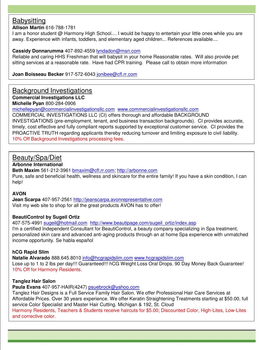# **Babysitting**

# **Allison Martin** 616-788-1781

I am a honor student @ Harmony High School.... I would be happy to entertain your little ones while you are away. Experience with infants, toddlers, and elementary aged children... References available....

# **Cassidy Donnarumma** 407-892-4559 [lyndadon@msn.com](mailto:lyndadon@msn.com)

Reliable and caring HHS Freshman that will babysit in your home Reasonable rates. Will also provide pet sitting services at a reasonable rate. Have had CPR training. Please call to obtain more information

**Joan Boisseau Becker** 917-572-6043 [jonibee@cfl.rr.com](mailto:jonibee@cfl.rr.com)

# Background Investigations

# **Commercial Investigations LLC**

**Michelle Pyan** 800-284-0906

[michellepyan@commercialinvestigationsllc.com](mailto:michellepyan@commercialinvestigationsllc.com) [www.commercialinvestigationsllc.com](http://www.commercialinvestigationsllc.com/)

COMMERCIAL INVESTIGATIONS LLC (CI) offers thorough and affordable BACKGROUND INVESTIGATIONS (pre-employment, tenant, and business transaction backgrounds). CI provides accurate, timely, cost effective and fully compliant reports supported by exceptional customer service. CI provides the PROACTIVE TRUTH regarding applicants thereby reducing turnover and limiting exposure to civil liability. 10% Off Background Investigations processing fees.

# Beauty/Spa/Diet

# **Arbonne International**

**Beth Maxim** 561-212-3961 [bmaxim@cfl.rr.com](mailto:bmaxim@cfl.rr.com); [http://arbonne.com](http://arbonne.com/)

Pure, safe and beneficial health, wellness and skincare for the entire family! If you have a skin condition, I can help!

# **AVON**

**Jean Scarpa** 407-957-2561 [http://jeanscarpa.avonrepresentative.com](http://jeanscarpa.avonrepresentative.com/) Visit my web site to shop for all the great products AVON has to offer!

# **BeautiControl by Sugeil Ortiz**

407-575-4991 [sugeil@hotmail.com](mailto:sugeil@hotmail.com) [http://www.beautipage.com/sugeil\\_ortiz/index.asp](http://www.beautipage.com/sugeil_ortiz/index.asp)

I'm a certified Independent Consultant for BeautiControl, a beauty company specializing in Spa treatment, personalized skin care and advanced anti-aging products through an at home Spa experience with unmatched income opportunity. Se habla español

# **hCG Rapid Slim**

**Natalie Alvarado** 888.645.8010 [info@hcgrapidslim.com](mailto:info@hcgrapidslim.com) [www.hcgrapidslim.com](http://www.hcgrapidslim.com/) Lose up to 1 to 2 lbs per day!!! Guaranteed!!! hCG Weight Loss Oral Drops. 90 Day Money Back Guarantee! 10% Off for Harmony Residents.

# **Tanglez Hair Salon**

**Paula Evans** 407-957-HAIR(4247) [psuebrock@yahoo.com](mailto:psuebrock@yahoo.com)

Tanglez Hair Designs is a Full Service Family Hair Salon. We offer Professional Hair Care Services at Affordable Prices. Over 30 years experience. We offer Keratin Straightening Treatments starting at \$50.00, full service Color Specialist and Master Hair Cutting. Michigan & 192, St. Cloud Harmony Residents, Teachers & Students receive haircuts for \$5.00; Discounted Color, High-Lites, Low-Lites and corrective color.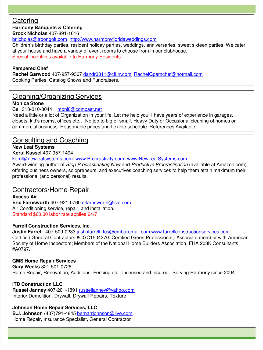# **Catering**

# **Harmony Banquets & Catering**

**Brock Nicholas** 407-891-1616

[bnicholas@troongolf.com](mailto:bnicholas@troongolf.com) [http://www.harmonyfloridaweddings.com](http://www.harmonyfloridaweddings.com/)

Children's birthday parties, resident holiday parties, weddings, anniversaries, sweet sixteen parties. We cater at your house and have a variety of event rooms to choose from in our clubhouse. Special incentives available to Harmony Residents.

# **Pampered Chef**

**Rachel Garwood** 407-957-9367 [dandr3311@cfl.rr.com](mailto:dandr3311@cfl.rr.com) [RachelGpamchef@hotmail.com](mailto:RachelGpamchef@hotmail.com) Cooking Parties, Catalog Shows and Fundraisers.

# Cleaning/Organizing Services

**Monica Stone**

Cell 313-310-3044 [moni8@comcast.net](mailto:moni8@comcast.net)

Need a little or a lot of Organization in your life. Let me help you! I have years of experience in garages, closets, kid's rooms, offices etc… No job to big or small. Heavy Duty or Occasional cleaning of homes or commercial business. Reasonable prices and flexible schedule. References Available

# Consulting and Coaching

# **New Leaf Systems**

**Kerul Kassel** 407-957-1494

[kerul@newleafsystems.com](mailto:kerul@newleafsystems.com) [www.Procrastivity.com](http://www.procrastivity.com/) [www.NewLeafSystems.com](http://www.newleafsystems.com/)

Award-winning author of *Stop Procrastinating Now* and *Productive Procrastination* (available at Amazon.com) offering business owners, solopreneurs, and executives coaching services to help them attain maximum their professional (and personal) results.

# Contractors/Home Repair

**Access Air Eric Farnsworth** 407-921-0760 [elfarnsworth@live.com](mailto:elfarnsworth@live.com) Air Conditioning service, repair, and installation. Standard \$60.00 labor rate applies 24/7

# **Farrell Construction Services, Inc.**

**Justin Farrell** 407-509-0233 justinfarrell fcs@embargmail.com [www.farrellconstructionservices.com](http://www.farrellconstructionservices.com/) Certified General Contractors #CGC1504270; Certified Green Professional; Associate member with American Society of Home Inspectors; Members of the National Home Builders Association. FHA 203K Consultants #A0797.

# **GMS Home Repair Services**

**Gary Weeks** 321-501-0726 Home Repair, Renovation, Additions, Fencing etc. Licensed and Insured. Serving Harmony since 2004

**ITD Construction LLC Russel Janney** 407-201-1891 [russeljanney@yahoo.com](mailto:russeljanney@yahoo.com) Interior Demolition, Drywall, Drywall Repairs, Texture

**Johnson Home Repair Services, LLC B.J. Johnson** (407)791-4845 [bernarrjohnson@live.com](mailto:bernarrjohnson@live.com) Home Repair, Insurance Specialist, General Contractor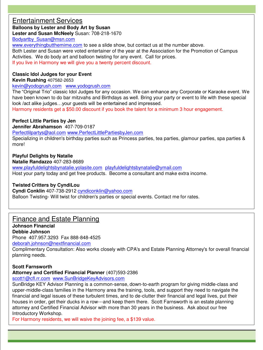# Entertainment Services

**Balloons by Lester and Body Art by Susan**

**Lester and Susan McNeely** Susan: 708-218-1670

Bodvartby Susan@msn.com

[www.everythingbutthemime.com](http://www.everythingbutthemime.com/) to see a slide show, but contact us at the number above. Both Lester and Susan were voted entertainer of the year at the Association for the Promotion of Campus Activities. We do body art and balloon twisting for any event. Call for prices. If you live in Harmony we will give you a twenty percent discount.

# **Classic Idol Judges for your Event**

**Kevin Rushing** 407582-2653

# [kevin@yodogrush.com](mailto:kevin@yodogrush.com) [www.yodogrush.com](http://www.yodogrush.com/)

The "Original Trio" classic Idol Judges for any occasion. We can enhance any Corporate or Karaoke event. We have been known to do bar mitzvahs and Birthdays as well. Bring your party or event to life with these special look /act alike judges…your guests will be entertained and impressed.

Harmony residents get a \$50.00 discount if you book the talent for a minimum 3 hour engagement.

# **Perfect Little Parties by Jen**

**Jennifer Abrahamson** 407-709-0187

[Perfectlilpartys@aol.com](mailto:Perfectlilpartys@aol.com) [www.PerfectLittlePartiesbyJen.com](http://www.perfectlittlepartiesbyjen.com/)

Specializing in children's birthday parties such as Princess parties, tea parties, glamour parties, spa parties & more!

# **Playful Delights by Natalie**

**Natalie Randazzo** 407-283-8689 [www.playfuldelightsbynatalie.yolasite.com](http://www.playfuldelightsbynatalie.yolasite.com/) [playfuldelightsbynatalie@ymail.com](mailto:playfuldelightsbynatalie@ymail.com) Host your party today and get free products. Become a consultant and make extra income.

# **Twisted Critters by CyndiLou**

**Cyndi Conklin** 407-738-2912 [cyndiconklin@yahoo.com](mailto:cyndiconklin@yahoo.com) Balloon Twisting- Will twist for children's parties or special events. Contact me for rates.

# Finance and Estate Planning

**Johnson Financial**

**Debbie Johnson**

Phone 407.957.3293 Fax 888-848-4525

[deborah.johnson@nextfinancial.com](mailto:deborah.johnson@nextfinancial.com)

Complimentary Consultation: Also works closely with CPA's and Estate Planning Attorney's for overall financial planning needs.

# **Scott Farnsworth**

**Attorney and Certified Financial Planner** (407)593-238[6](mailto:sfarnsworth@sunbridgenetwork.com)

# [scott1@cfl.rr.com](mailto:scott1@cfl.rr.com) [www.SunBridgeKeyAdvisors.com](http://www.sunbridgekeyadvisors.com/)

SunBridge KEY Advisor Planning is a common-sense, down-to-earth program for giving middle-class and upper-middle-class families in the Harmony area the training, tools, and support they need to navigate the financial and legal issues of these turbulent times, and to de-clutter their financial and legal lives, put their houses in order, get their ducks in a row---and keep them there. Scott Farnsworth is an estate planning attorney and Certified Financial Advisor with more than 30 years in the business. Ask about our free Introductory Workshop.

For Harmony residents, we will waive the joining fee, a \$139 value.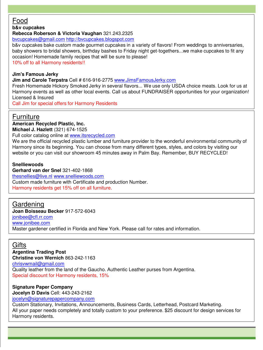# Food

**b&v cupcakes** 

**Rebecca Roberson & Victoria Vaughan** 321.243.2325

[bvcupcakes@gmail.com](mailto:bvcupcakes@gmail.com) [http://bvcupcakes.blogspot.com](http://bvcupcakes.blogspot.com/)

b&v cupcakes bake custom made gourmet cupcakes in a variety of flavors! From weddings to anniversaries, baby showers to bridal showers, birthday bashes to Friday night get-togethers...we make cupcakes to fit any occasion! Homemade family recipes that will be sure to please!

10% off to all Harmony residents!!

# **Jim's Famous Jerky**

**Jim and Carole Terpstra** Cell # 616-916-2775 [www.JimsFamousJerky.com](http://www.jimsfamousjerky.com/)

Fresh Homemade Hickory Smoked Jerky in several flavors... We use only USDA choice meats. Look for us at Harmony events as well as other local events. Call us about FUNDRAISER opportunities for your organization! Licensed & Insured

Call Jim for special offers for Harmony Residents

# **Furniture**

**American Recycled Plastic, Inc.**

**Michael J. Hazlett** (321) 674-1525

Full color catalog online at [www.itsrecycled.com](http://www.itsrecycled.com/)

We are the official recycled plastic lumber and furniture provider to the wonderful environmental community of Harmony since its beginning. You can choose from many different types, styles, and colors by visiting our website or you can visit our showroom 45 minutes away in Palm Bay. Remember, BUY RECYCLED!

# **Snelliewoods**

**Gerhard van der Snel** 321-402-1868 [thesnellies@live.nl](mailto:thesnellies@live.nl) [www.snelliewoods.com](http://www.snelliewoods.com/) Custom made furniture with Certificate and production Number. Harmony residents get 15% off on all furniture.

# **Gardening**

**Joan Boisseau Becker** 917-572-6043 [jonibee@cfl.rr.com](mailto:jonibee@cfl.rr.com)

[www.jonibee.com](http://www.jonibee.com/)

Master gardener certified in Florida and New York. Please call for rates and information.

# Gifts

**Argentina Trading Post**

**Christine von Wernich** 863-242-1163

[chrisvwmail@gmail.com](mailto:chrisvwmail@gmail.com)

Quality leather from the land of the Gaucho. Authentic Leather purses from Argentina. Special discount for Harmony residents, 15%

# **Signature Paper Company**

**Jocelyn D Davis** Cell: 443-243-2162

[jocelyn@signaturepapercompany.com](mailto:jocelyn@signaturepapercompany.com)

Custom Stationary, Invitations, Announcements, Business Cards, Letterhead, Postcard Marketing. All your paper needs completely and totally custom to your preference. \$25 discount for design services for Harmony residents.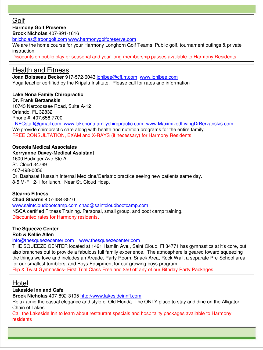# Golf

# **Harmony Golf Preserve**

**Brock Nicholas** 407-891-1616

[bnicholas@troongolf.com](mailto:bnicholas@troongolf.com) [www.harmonygolfpreserve.com](http://www.harmonygolfpreserve.com/)

We are the home course for your Harmony Longhorn Golf Teams. Public golf, tournament outings & private instruction.

Discounts on public play or seasonal and year-long membership passes available to Harmony Residents.

# Health and Fitness

**Joan Boisseau Becker** 917-572-6043 [jonibee@cfl.rr.com](mailto:jonibee@cfl.rr.com) [www.jonibee.com](http://www.jonibee.com/) Yoga teacher certified by the Kripalu Institute. Please call for rates and information

# **Lake Nona Family Chiropractic**

**Dr. Frank Berzanskis**  10743 Narcoossee Road, Suite A-12 Orlando, FL 32832 Phone #: 407.658.7700 [LNFCstaff@gmail.com](mailto:LNFCstaff@gmail.com) [www.lakenonafamilychiropractic.com](http://www.lakenonafamilychiropractic.com/) [www.MaximizedLivingDrBerzanskis.com](http://www.maximizedlivingdrberzanskis.com/) We provide chiropractic care along with health and nutrition programs for the entire family. FREE CONSULTATION, EXAM and X-RAYS (if necessary) for Harmony Residents

### **Osceola Medical Associates Kerryanne Davey-Medical Assistant**

1600 Budinger Ave Ste A St. Cloud 34769 407-498-0056 Dr. Basharat Hussain Internal Medicine/Geriatric practice seeing new patients same day. 8-5 M-F 12-1 for lunch. Near St. Cloud Hosp.

# **Stearns Fitness**

**Chad Stearns** 407-484-8510 [www.saintcloudbootcamp.com](http://www.saintcloudbootcamp.com/) [chad@saintcloudbootcamp.com](mailto:chad@saintcloudbootcamp.com) NSCA certified Fitness Training. Personal, small group, and boot camp training. Discounted rates for Harmony residents*.*

# **The Squeeze Center**

**Rob & Kellie Allen** 

[info@thesqueezecenter.com](mailto:info@thesqueezecenter.com) [www.thesqueezecenter.com](http://www.thesqueezecenter.com/)

THE SQUEEZE CENTER located at 1421 Hamlin Ave., Saint Cloud, Fl 34771 has gymnastics at it's core, but also branches out to provide a fabulous full family experience. The atmosphere is geared toward squeezing the things we love and includes an Arcade, Party Room, Snack Area, Rock Wall, a separate Pre-School area for our smallest tumblers, and Boys Equipment for our growing boys program.

Flip & Twist Gymnastics- First Trial Class Free and \$50 off any of our Bithday Party Packages

# Hotel

# **Lakeside Inn and Cafe**

**Brock Nicholas** 407-892-3195 [http://www.lakesideinnfl.com](http://www.lakesideinnfl.com/)

Relax amid the casual elegance and style of Old Florida. The ONLY place to stay and dine on the Alligator Chain of Lakes

Call the Lakeside Inn to learn about restaurant specials and hospitality packages available to Harmony residents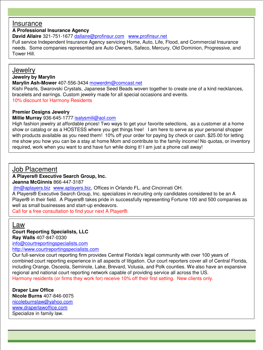# Insurance

# **A Professional Insurance Agency**

**David Allaire** 321-751-1677 [dallaire@profinsur.com](mailto:dallaire@profinsur.com) [www.profinsur.net](http://www.profinsur.net/)

Full service Independent Insurance Agency servicing Home, Auto, Life, Flood, and Commercial Insurance needs. Some companies represented are Auto Owners, Safeco, Mercury, Old Dominion, Progressive, and Tower Hill.

# **Jewelry**

# **Jewelry by Marylin**

**Marylin Ash-Mower** 407-556-3434 [mowerdm@comcast.net](mailto:mowerdm@comcast.net)

Kishi Pearls, Swarovski Crystals, Japanese Seed Beads woven together to create one of a kind necklances, bracelets and earrings. Custom jewelry made for all special occasions and events. 10% discount for Harmony Residents

# **Premier Designs Jewelry**

### **Millie Murray** 936-645-1777 [isalysmili@aol.com](mailto:isalysmili@aol.com)

High fashion jewelry at affordable prices! Two ways to get your favorite selections, as a customer at a home show or catalog or as a HOSTESS where you get things free! I am here to serve as your personal shopper with products available as you need them! 10% off your order for paying by check or cash. \$25.00 for letting me show you how you can be a stay at home Mom and contribute to the family income! No quotas, or inventory required, work when you want to and have fun while doing it! I am just a phone call away!

# Job Placement

# **A Players® Executive Search Group, Inc.**

**Jeanna McGinnis** 866-447-3187

[jlm@aplayers.biz](mailto:jlm@aplayers.biz) [www.aplayers.biz,](http://www.aplayers.biz/) Offices in Orlando FL. and Cincinnati OH.

A Players® Executive Search Group, Inc. specializes in recruiting only candidates considered to be an A Player® in their field. A Players® takes pride in successfully representing Fortune 100 and 500 companies as well as small businesses and start-up endeavors.

Call for a free consultation to find your next A Player®.

# Law

# **Court Reporting Specialists, LLC**

**Ray Walls** 407-847-0330

[info@courtreportingspecialists.com](mailto:info@courtreportingspecialists.com)

[http://www.courtreportingspecialists.com](http://www.courtreportingspecialists.com/)

Our full-service court reporting firm provides Central Florida's legal community with over 100 years of combined court reporting experience in all aspects of litigation. Our court reporters cover all of Central Florida, including Orange, Osceola, Seminole, Lake, Brevard, Volusia, and Polk counties. We also have an expansive regional and national court reporting network capable of providing service all across the US. Harmony residents (or firms they work for) receive 10% off their first setting. New clients only.

# **Draper Law Office**

**Nicole Burns** 407-846-0075 [nicoleburnslaw@yahoo.com](mailto:nicoleburnslaw@yahoo.com) [www.draperlawoffice.com](http://www.draperlawoffice.com/) Specialize in family law.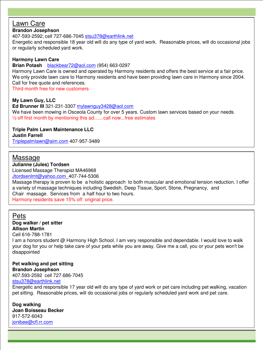# Lawn Care

# **Brandon Josephson**

407-593-2592; cell 727-686-7045 [stsu378@earthlink.net](mailto:stsu378@earthlink.net) Energetic and responsible 18 year old will do any type of yard work. Reasonable prices, will do occasional jobs or regularly scheduled yard work.

# **Harmony Lawn Care**

**Brian Potash** [blackbear72@aol.com](mailto:blackbear72@aol.com) (954) 663-0297 Harmony Lawn Care is owned and operated by Harmony residents and offers the best service at a fair price. We only provide lawn care to Harmony residents and have been providing lawn care in Harmony since 2004. Call for free quote and references. Third month free for new customers

# **My Lawn Guy, LLC**

**Ed Brunner III** 321-231-3307 [mylawnguy3428@aol.com](mailto:mylawnguy3428@aol.com) We have been mowing in Osceola County for over 5 years. Custom lawn services based on your needs. ½ off first month by mentioning this ad.......call now...free estimates

# **Triple Palm Lawn Maintenance LLC Justin Farrell**

[Triplepalmlawn@aim.com](mailto:Triplepalmlawn@aim.com) 407-957-3489

# Massage

**Julianne (Jules) Tordsen** 

Licensed Massage Therapist MA46968 [Jtordsenlmt@yahoo.com](mailto:Jtordsenlmt@yahoo.com) 407-744-5306

Massage therapy is proven to be a holistic approach to both muscular and emotional tension reduction. I offer a variety of massage techniques including Swedish, Deep Tissue, Sport, Stone, Pregnancy, and Chair massage. Services from a half hour to two hours. Harmony residents save 15% off original price.

# Pets

# **Dog walker / pet sitter Allison Martin**

Cell 616-788-1781

I am a honors student @ Harmony High School. I am very responsible and dependable. I would love to walk your dog for you or help take care of your pets while you are away. Give me a call, you or your pets won't be disappointed

### **Pet walking and pet sitting Brandon Josephson**

407.593-2592 cell 727.686-7045 [stsu378@earthlink.net](mailto:stsu378@earthlink.net)

Energetic and responsible 17 year old will do any type of yard work or pet care including pet walking, vacation pet sitting. Reasonable prices, will do occasional jobs or regularly scheduled yard work and pet care.

### **Dog walking Joan Boisseau Becker** 917-572-6043 [jonibee@cfl.rr.com](mailto:jonibee@cfl.rr.com)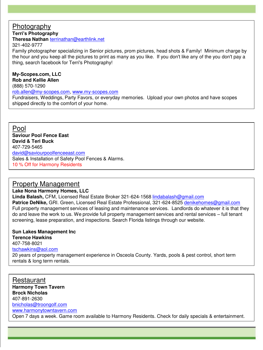# Photography

**Terri's Photography**

**Theresa Nathan** [terrinathan@earthlink.net](mailto:terrinathan@earthlink.net)

321-402-9777

Family photographer specializing in Senior pictures, prom pictures, head shots & Family! Minimum charge by the hour and you keep all the pictures to print as many as you like. If you don't like any of the you don't pay a thing, search facebook for Terri's Photography!

# **My-Scopes.com, LLC Rob and Kellie Allen**

(888) 570-1290

[rob.allen@my-scopes.com](mailto:rob.allen@my-scopes.com), [www.my-scopes.com](http://www.my-scopes.com/)

Fundraisers, Weddings, Party Favors, or everyday memories. Upload your own photos and have scopes shipped directly to the comfort of your home.

Pool **Saviour Pool Fence East David & Teri Buck** 407-729-5465 [david@saviourpoolfenceeast.com](mailto:david@saviourpoolfenceeast.com) Sales & Installation of Safety Pool Fences & Alarms. 10 % Off for Harmony Residents

# Property Management

### **Lake Nona Harmony Homes, LLC**

**Linda Balash,** CFM, Licensed Real Estate Broker 321-624-1568 [lindabalash@gmail.com](mailto:lindabalash@gmail.com) **Patrice DeNike,** GRI. Green, Licensed Real Estate Professional, 321-624-8525 [denikehomes@gmail.com](mailto:denikehomes@gmail.com) Full property management services of leasing and maintenance services. Landlords do whatever it is that they do and leave the work to us. We provide full property management services and rental services – full tenant screening, lease preparation, and inspections. Search Florida listings through our website.

### **Sun Lakes Management Inc Terence Hawkins** 407-758-8021 [tschawkins@aol.com](mailto:tschawkins@aol.com) 20 years of property management experience in Osceola County. Yards, pools & pest control, short term rentals & long term rentals.

Restaurant **Harmony Town Tavern Brock Nicholas** 407-891-2630 [bnicholas@troongolf.com](mailto:bnicholas@troongolf.com) [www.harmonytowntavern.com](http://www.harmonygolfpreserve.com/) Open 7 days a week. Game room available to Harmony Residents. Check for daily specials & entertainment.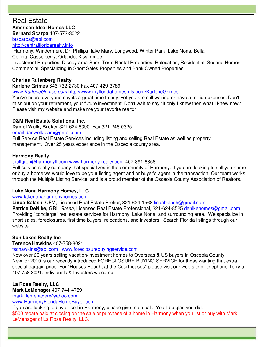# Real Estate **American Ideal Homes LLC**

**Bernard Scarpa** 407-572-3022

[btscarpa@aol.com](mailto:btscarpa@aol.com)

# [http://centralfloridarealty.info](http://centralfloridarealty.info/)

Harmony, Windermere, Dr. Phillips, lake Mary, Longwood, Winter Park, Lake Nona, Bella Collina, Casselberry, Orlando, Kissimmee Investment Properties, Disney area Short Term Rental Properties, Relocation, Residential, Second Homes, Commercial, Specializing in Short Sales Properties and Bank Owned Properties.

# **Charles Rutenberg Realty**

**Karlene Grimes** 646-732-2730 Fax 407-429-3789

*[www.KarleneGrimes.com](www.KarleneGrimes.com )* <http://www.myfloridahomesmls.com/KarleneGrimes>

You've heard everyone say its a great time to buy, yet you are still waiting or have a million excuses. Don't miss out on your retirement, your future investment. Don't wait to say "If only I knew then what I knew now." Please visit my website and make me your favorite realtor

### **D&M Real Estate Solutions, Inc.**

**Daniel Wolk, Broker** 321-624-8390 Fax:321-248-0325

# [email-danwolkteam@gmail.com](mailto:email-danwolkteam@gmail.com)

Full Service Real Estate Services including listing and selling Real Estate as well as property management. Over 25 years experience in the Osceola county area.

### **Harmony Realty**

# [thultgren@harmonyfl.com](mailto:thultgren@harmonyfl.com) [www.harmony-realty.com](http://www.harmony-realty.com/) 407-891-8358

Full service realty company that specializes in the community of Harmony. If you are looking to sell you home or buy a home we would love to be your listing agent and or buyer's agent in the transaction. Our team works through the Multiple Listing Service, and is a proud member of the Osceola County Association of Realtors.

# **Lake Nona Harmony Homes, LLC**

# [www.lakenonaharmonyhomes.com](http://www.lakenonaharmonyhomes.com/)

**Linda Balash,** CFM, Licensed Real Estate Broker, 321-624-1568 [lindabalash@gmail.com](mailto:lindabalash@gmail.com) **Patrice DeNike,** GRI. *Green*, Licensed Real Estate Professional, 321-624-8525 [denikehomes@gmail.com](mailto:denikehomes@gmail.com) Providing "concierge" real estate services for Harmony, Lake Nona, and surrounding area. We specialize in short sales, foreclosures, first time buyers, relocations, and investors. Search Florida listings through our website.

# **Sun Lakes Realty Inc**

**Terence Hawkins** 407-758-8021

# [tschawkins@aol.com](mailto:tschawkins@aol.com) [www.foreclosurebuyingservice.com](http://www.foreclosurebuyingservice.com/)

Now over 20 years selling vacation/investment homes to Overseas & US buyers in Osceola County. New for 2010 is our recently introduced FORECLOSURE BUYING SERVICE for those wanting that extra special bargain price. For "Houses Bought at the Courthouses" please visit our web site or telephone Terry at 407 758 8021. Individuals & Investors welcome.

# **La Rosa Realty, LLC**

**Mark LeMenager** 407-744-4759

[mark\\_lemenager@yahoo.com](mailto:mark_lemenager@yahoo.com)

[www.HarmonyFloridaHomeBuyer.com](http://www.harmonyfloridahomebuyer.com/)

If you are looking to buy or sell in Harmony, please give me a call. You'll be glad you did.

\$500 rebate paid at closing on the sale or purchase of a home in Harmony when you list or buy with Mark LeMenager of La Rosa Realty, LLC.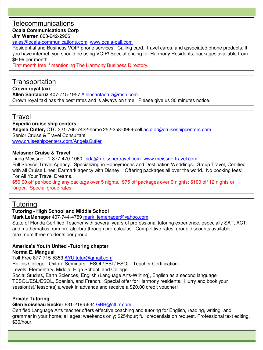# **Telecommunications**

**Ocala Communications Corp** 

**Jim Warren** 863-242-2906

[sales@ocala-communications.com](mailto:sales@ocala-communications.com) [www.ocala-call.com](http://www.ocala-call.com/)

Residential and Business VOIP phone services. Calling card, travel cards, and associated phone products. If you have internet, you should be using VOIP! Special pricing for Harmony Residents, packages available from \$9.99 per month.

First month free if mentioning The Harmony Business Directory.

# **Transportation**

## **Crown royal taxi**

**Allen Santacruz** 407-715-1957 [Allensantacruz@msn.com](mailto:Allensantacruz@msn.com)

Crown royal taxi has the best rates and is always on time. Please give us 30 minutes notice.

# Travel

# **Expedia cruise ship centers**

**Angela Cutler,** CTC 321-766-7422-home 252-258-0969-cell [acutler@cruiseshipcenters.com](mailto:acutler@cruiseshipcenters.com) Senior Cruise & Travel Consultant [www.cruiseshipcenters.com/AngelaCutler](http://www.cruiseshipcenters.com/AngelaCutler)

### **Meissner Cruise & Travel**

Linda Meissner 1-877-470-1060 [linda@meissnertravel.com](mailto:linda@meissnertravel.com) [www.meissnertravel.com](http://www.meissnertravel.com/)

Full Service Travel Agency. Specializing in Honeymoons and Destination Weddings. Group Travel, Certified with all Cruise Lines; Earmark agency with Disney. Offering packages all over the world. No booking fees! For All Your Travel Dreams.

\$50.00 off per/booking any package over 5 nights. \$75 off packages over 9 nights; \$100 off 12 nights or longer. Special group rates.

# Tutoring

# **Tutoring - High School and Middle School**

**Mark LeMenager** 407-744-4759 [mark\\_lemenager@yahoo.com](mailto:mark_lemenager@yahoo.com)

State of Florida Certified Teacher with several years of professional tutoring experience, especially SAT, ACT, and mathematics from pre-algebra through pre-calculus. Competitive rates, group discounts available, maximum three students per group.

### **America's Youth United -Tutoring chapter Norma E. Mangual**

Toll-Free 877-715-5353 [AYU.tutor@gmail.com](mailto:AYU.tutor@gmail.com)

Rollins College - Oxford Seminars TESOL/ ESL/ ESOL- Teacher Certification

Levels: Elementary, Middle, High School, and College

Social Studies, Earth Sciences, English (Language Arts-Writing), English as a second language TESOL/ESL/ESOL, Spanish, and French. Special offer for Harmony residents: Hurry and book your session(s)/ lesson(s) a week in advance and receive a \$20.00 credit voucher!

# **Private Tutoring**

**Glen Boisseau Becker** 631-219-5634 [GBB@cfl.rr.com](mailto:GBB@cfl.rr.com)

Certified Language Arts teacher offers effective coaching and tutoring for English, reading, writing, and grammar in your home; all ages; weekends only; \$25/hour; full credentials on request. Professional text editing, \$30/hour.